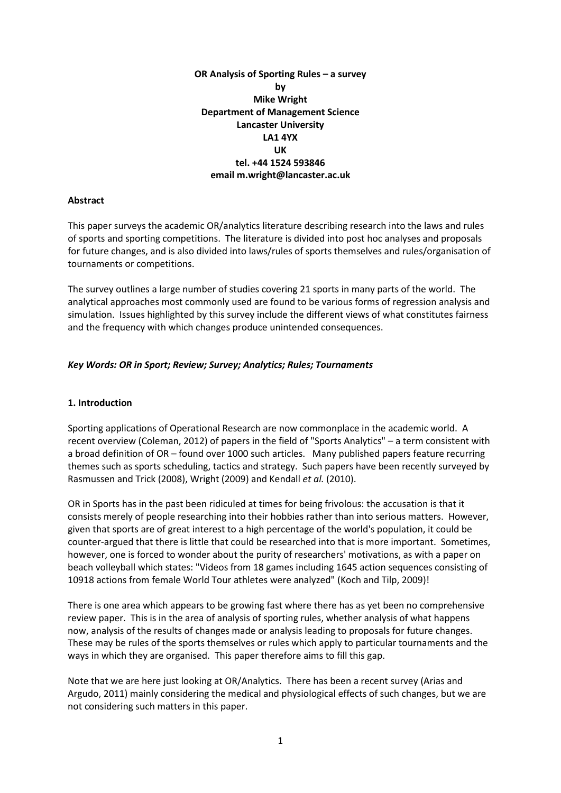## **OR Analysis of Sporting Rules – a survey by Mike Wright Department of Management Science Lancaster University LA1 4YX UK tel. +44 1524 593846 email m.wright@lancaster.ac.uk**

#### **Abstract**

This paper surveys the academic OR/analytics literature describing research into the laws and rules of sports and sporting competitions. The literature is divided into post hoc analyses and proposals for future changes, and is also divided into laws/rules of sports themselves and rules/organisation of tournaments or competitions.

The survey outlines a large number of studies covering 21 sports in many parts of the world. The analytical approaches most commonly used are found to be various forms of regression analysis and simulation. Issues highlighted by this survey include the different views of what constitutes fairness and the frequency with which changes produce unintended consequences.

#### *Key Words: OR in Sport; Review; Survey; Analytics; Rules; Tournaments*

#### **1. Introduction**

Sporting applications of Operational Research are now commonplace in the academic world. A recent overview (Coleman, 2012) of papers in the field of "Sports Analytics" – a term consistent with a broad definition of OR – found over 1000 such articles. Many published papers feature recurring themes such as sports scheduling, tactics and strategy. Such papers have been recently surveyed by Rasmussen and Trick (2008), Wright (2009) and Kendall *et al.* (2010).

OR in Sports has in the past been ridiculed at times for being frivolous: the accusation is that it consists merely of people researching into their hobbies rather than into serious matters. However, given that sports are of great interest to a high percentage of the world's population, it could be counter-argued that there is little that could be researched into that is more important. Sometimes, however, one is forced to wonder about the purity of researchers' motivations, as with a paper on beach volleyball which states: "Videos from 18 games including 1645 action sequences consisting of 10918 actions from female World Tour athletes were analyzed" (Koch and Tilp, 2009)!

There is one area which appears to be growing fast where there has as yet been no comprehensive review paper. This is in the area of analysis of sporting rules, whether analysis of what happens now, analysis of the results of changes made or analysis leading to proposals for future changes. These may be rules of the sports themselves or rules which apply to particular tournaments and the ways in which they are organised. This paper therefore aims to fill this gap.

Note that we are here just looking at OR/Analytics. There has been a recent survey (Arias and Argudo, 2011) mainly considering the medical and physiological effects of such changes, but we are not considering such matters in this paper.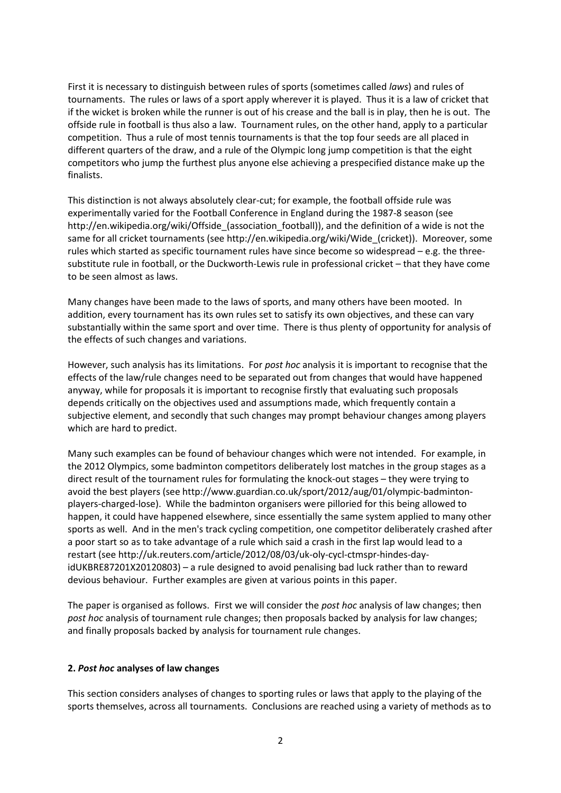First it is necessary to distinguish between rules of sports (sometimes called *laws*) and rules of tournaments. The rules or laws of a sport apply wherever it is played. Thus it is a law of cricket that if the wicket is broken while the runner is out of his crease and the ball is in play, then he is out. The offside rule in football is thus also a law. Tournament rules, on the other hand, apply to a particular competition. Thus a rule of most tennis tournaments is that the top four seeds are all placed in different quarters of the draw, and a rule of the Olympic long jump competition is that the eight competitors who jump the furthest plus anyone else achieving a prespecified distance make up the finalists.

This distinction is not always absolutely clear-cut; for example, the football offside rule was experimentally varied for the Football Conference in England during the 1987-8 season (see http://en.wikipedia.org/wiki/Offside\_(association\_football)), and the definition of a wide is not the same for all cricket tournaments (see http://en.wikipedia.org/wiki/Wide\_(cricket)). Moreover, some rules which started as specific tournament rules have since become so widespread – e.g. the threesubstitute rule in football, or the Duckworth-Lewis rule in professional cricket – that they have come to be seen almost as laws.

Many changes have been made to the laws of sports, and many others have been mooted. In addition, every tournament has its own rules set to satisfy its own objectives, and these can vary substantially within the same sport and over time. There is thus plenty of opportunity for analysis of the effects of such changes and variations.

However, such analysis has its limitations. For *post hoc* analysis it is important to recognise that the effects of the law/rule changes need to be separated out from changes that would have happened anyway, while for proposals it is important to recognise firstly that evaluating such proposals depends critically on the objectives used and assumptions made, which frequently contain a subjective element, and secondly that such changes may prompt behaviour changes among players which are hard to predict.

Many such examples can be found of behaviour changes which were not intended. For example, in the 2012 Olympics, some badminton competitors deliberately lost matches in the group stages as a direct result of the tournament rules for formulating the knock-out stages – they were trying to avoid the best players (see http://www.guardian.co.uk/sport/2012/aug/01/olympic-badmintonplayers-charged-lose). While the badminton organisers were pilloried for this being allowed to happen, it could have happened elsewhere, since essentially the same system applied to many other sports as well. And in the men's track cycling competition, one competitor deliberately crashed after a poor start so as to take advantage of a rule which said a crash in the first lap would lead to a restart (see http://uk.reuters.com/article/2012/08/03/uk-oly-cycl-ctmspr-hindes-dayidUKBRE87201X20120803) – a rule designed to avoid penalising bad luck rather than to reward devious behaviour. Further examples are given at various points in this paper.

The paper is organised as follows. First we will consider the *post hoc* analysis of law changes; then *post hoc* analysis of tournament rule changes; then proposals backed by analysis for law changes; and finally proposals backed by analysis for tournament rule changes.

#### **2.** *Post hoc* **analyses of law changes**

This section considers analyses of changes to sporting rules or laws that apply to the playing of the sports themselves, across all tournaments. Conclusions are reached using a variety of methods as to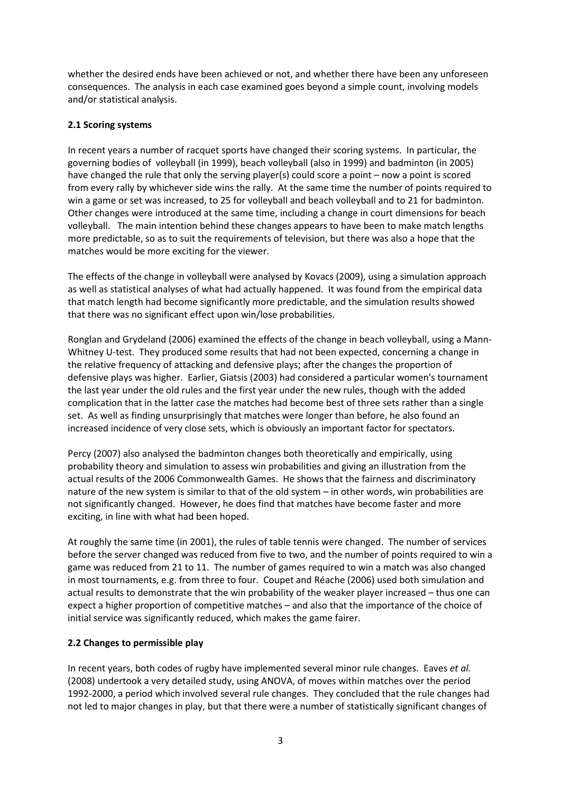whether the desired ends have been achieved or not, and whether there have been any unforeseen consequences. The analysis in each case examined goes beyond a simple count, involving models and/or statistical analysis.

## **2.1 Scoring systems**

In recent years a number of racquet sports have changed their scoring systems. In particular, the governing bodies of volleyball (in 1999), beach volleyball (also in 1999) and badminton (in 2005) have changed the rule that only the serving player(s) could score a point – now a point is scored from every rally by whichever side wins the rally. At the same time the number of points required to win a game or set was increased, to 25 for volleyball and beach volleyball and to 21 for badminton. Other changes were introduced at the same time, including a change in court dimensions for beach volleyball. The main intention behind these changes appears to have been to make match lengths more predictable, so as to suit the requirements of television, but there was also a hope that the matches would be more exciting for the viewer.

The effects of the change in volleyball were analysed by Kovacs (2009), using a simulation approach as well as statistical analyses of what had actually happened. It was found from the empirical data that match length had become significantly more predictable, and the simulation results showed that there was no significant effect upon win/lose probabilities.

Ronglan and Grydeland (2006) examined the effects of the change in beach volleyball, using a Mann-Whitney U-test. They produced some results that had not been expected, concerning a change in the relative frequency of attacking and defensive plays; after the changes the proportion of defensive plays was higher. Earlier, Giatsis (2003) had considered a particular women's tournament the last year under the old rules and the first year under the new rules, though with the added complication that in the latter case the matches had become best of three sets rather than a single set. As well as finding unsurprisingly that matches were longer than before, he also found an increased incidence of very close sets, which is obviously an important factor for spectators.

Percy (2007) also analysed the badminton changes both theoretically and empirically, using probability theory and simulation to assess win probabilities and giving an illustration from the actual results of the 2006 Commonwealth Games. He shows that the fairness and discriminatory nature of the new system is similar to that of the old system – in other words, win probabilities are not significantly changed. However, he does find that matches have become faster and more exciting, in line with what had been hoped.

At roughly the same time (in 2001), the rules of table tennis were changed. The number of services before the server changed was reduced from five to two, and the number of points required to win a game was reduced from 21 to 11. The number of games required to win a match was also changed in most tournaments, e.g. from three to four. Coupet and Réache (2006) used both simulation and actual results to demonstrate that the win probability of the weaker player increased – thus one can expect a higher proportion of competitive matches – and also that the importance of the choice of initial service was significantly reduced, which makes the game fairer.

## **2.2 Changes to permissible play**

In recent years, both codes of rugby have implemented several minor rule changes. Eaves *et al.*  (2008) undertook a very detailed study, using ANOVA, of moves within matches over the period 1992-2000, a period which involved several rule changes. They concluded that the rule changes had not led to major changes in play, but that there were a number of statistically significant changes of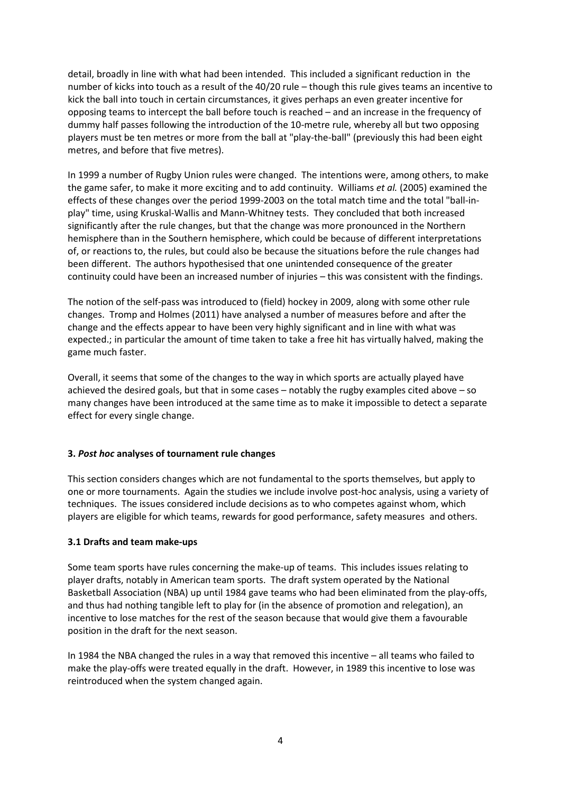detail, broadly in line with what had been intended. This included a significant reduction in the number of kicks into touch as a result of the 40/20 rule – though this rule gives teams an incentive to kick the ball into touch in certain circumstances, it gives perhaps an even greater incentive for opposing teams to intercept the ball before touch is reached – and an increase in the frequency of dummy half passes following the introduction of the 10-metre rule, whereby all but two opposing players must be ten metres or more from the ball at "play-the-ball" (previously this had been eight metres, and before that five metres).

In 1999 a number of Rugby Union rules were changed. The intentions were, among others, to make the game safer, to make it more exciting and to add continuity. Williams *et al.* (2005) examined the effects of these changes over the period 1999-2003 on the total match time and the total "ball-inplay" time, using Kruskal-Wallis and Mann-Whitney tests. They concluded that both increased significantly after the rule changes, but that the change was more pronounced in the Northern hemisphere than in the Southern hemisphere, which could be because of different interpretations of, or reactions to, the rules, but could also be because the situations before the rule changes had been different. The authors hypothesised that one unintended consequence of the greater continuity could have been an increased number of injuries – this was consistent with the findings.

The notion of the self-pass was introduced to (field) hockey in 2009, along with some other rule changes. Tromp and Holmes (2011) have analysed a number of measures before and after the change and the effects appear to have been very highly significant and in line with what was expected.; in particular the amount of time taken to take a free hit has virtually halved, making the game much faster.

Overall, it seems that some of the changes to the way in which sports are actually played have achieved the desired goals, but that in some cases – notably the rugby examples cited above – so many changes have been introduced at the same time as to make it impossible to detect a separate effect for every single change.

## **3.** *Post hoc* **analyses of tournament rule changes**

This section considers changes which are not fundamental to the sports themselves, but apply to one or more tournaments. Again the studies we include involve post-hoc analysis, using a variety of techniques. The issues considered include decisions as to who competes against whom, which players are eligible for which teams, rewards for good performance, safety measures and others.

## **3.1 Drafts and team make-ups**

Some team sports have rules concerning the make-up of teams. This includes issues relating to player drafts, notably in American team sports. The draft system operated by the National Basketball Association (NBA) up until 1984 gave teams who had been eliminated from the play-offs, and thus had nothing tangible left to play for (in the absence of promotion and relegation), an incentive to lose matches for the rest of the season because that would give them a favourable position in the draft for the next season.

In 1984 the NBA changed the rules in a way that removed this incentive – all teams who failed to make the play-offs were treated equally in the draft. However, in 1989 this incentive to lose was reintroduced when the system changed again.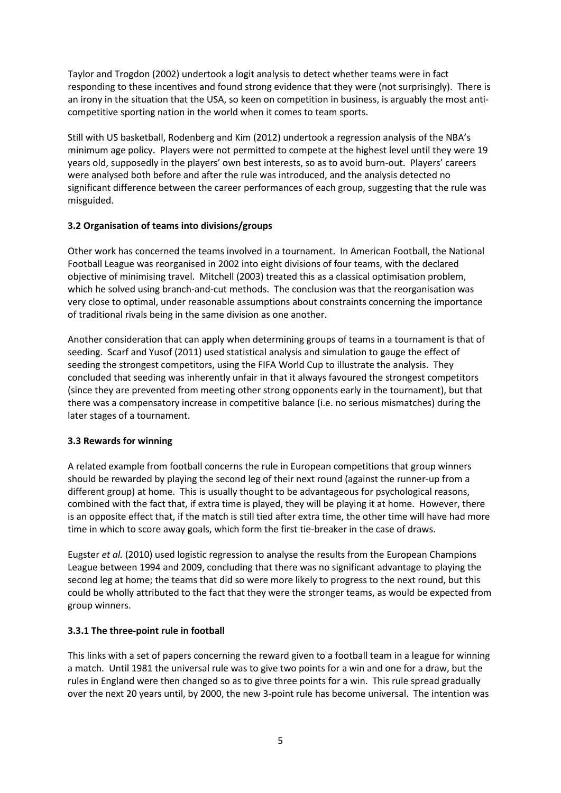Taylor and Trogdon (2002) undertook a logit analysis to detect whether teams were in fact responding to these incentives and found strong evidence that they were (not surprisingly). There is an irony in the situation that the USA, so keen on competition in business, is arguably the most anticompetitive sporting nation in the world when it comes to team sports.

Still with US basketball, Rodenberg and Kim (2012) undertook a regression analysis of the NBA's minimum age policy. Players were not permitted to compete at the highest level until they were 19 years old, supposedly in the players' own best interests, so as to avoid burn-out. Players' careers were analysed both before and after the rule was introduced, and the analysis detected no significant difference between the career performances of each group, suggesting that the rule was misguided.

## **3.2 Organisation of teams into divisions/groups**

Other work has concerned the teams involved in a tournament. In American Football, the National Football League was reorganised in 2002 into eight divisions of four teams, with the declared objective of minimising travel. Mitchell (2003) treated this as a classical optimisation problem, which he solved using branch-and-cut methods. The conclusion was that the reorganisation was very close to optimal, under reasonable assumptions about constraints concerning the importance of traditional rivals being in the same division as one another.

Another consideration that can apply when determining groups of teams in a tournament is that of seeding. Scarf and Yusof (2011) used statistical analysis and simulation to gauge the effect of seeding the strongest competitors, using the FIFA World Cup to illustrate the analysis. They concluded that seeding was inherently unfair in that it always favoured the strongest competitors (since they are prevented from meeting other strong opponents early in the tournament), but that there was a compensatory increase in competitive balance (i.e. no serious mismatches) during the later stages of a tournament.

#### **3.3 Rewards for winning**

A related example from football concerns the rule in European competitions that group winners should be rewarded by playing the second leg of their next round (against the runner-up from a different group) at home. This is usually thought to be advantageous for psychological reasons, combined with the fact that, if extra time is played, they will be playing it at home. However, there is an opposite effect that, if the match is still tied after extra time, the other time will have had more time in which to score away goals, which form the first tie-breaker in the case of draws.

Eugster *et al.* (2010) used logistic regression to analyse the results from the European Champions League between 1994 and 2009, concluding that there was no significant advantage to playing the second leg at home; the teams that did so were more likely to progress to the next round, but this could be wholly attributed to the fact that they were the stronger teams, as would be expected from group winners.

## **3.3.1 The three-point rule in football**

This links with a set of papers concerning the reward given to a football team in a league for winning a match. Until 1981 the universal rule was to give two points for a win and one for a draw, but the rules in England were then changed so as to give three points for a win. This rule spread gradually over the next 20 years until, by 2000, the new 3-point rule has become universal. The intention was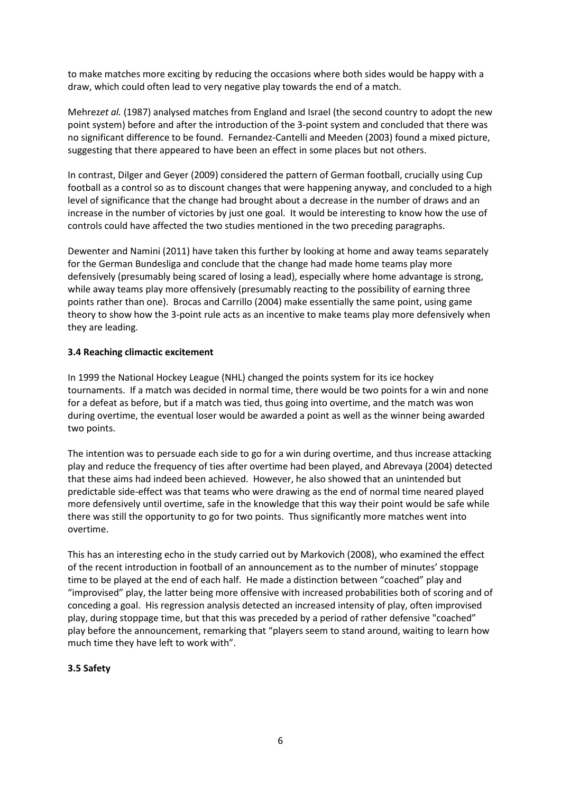to make matches more exciting by reducing the occasions where both sides would be happy with a draw, which could often lead to very negative play towards the end of a match.

Mehrez*et al.* (1987) analysed matches from England and Israel (the second country to adopt the new point system) before and after the introduction of the 3-point system and concluded that there was no significant difference to be found. Fernandez-Cantelli and Meeden (2003) found a mixed picture, suggesting that there appeared to have been an effect in some places but not others.

In contrast, Dilger and Geyer (2009) considered the pattern of German football, crucially using Cup football as a control so as to discount changes that were happening anyway, and concluded to a high level of significance that the change had brought about a decrease in the number of draws and an increase in the number of victories by just one goal. It would be interesting to know how the use of controls could have affected the two studies mentioned in the two preceding paragraphs.

Dewenter and Namini (2011) have taken this further by looking at home and away teams separately for the German Bundesliga and conclude that the change had made home teams play more defensively (presumably being scared of losing a lead), especially where home advantage is strong, while away teams play more offensively (presumably reacting to the possibility of earning three points rather than one). Brocas and Carrillo (2004) make essentially the same point, using game theory to show how the 3-point rule acts as an incentive to make teams play more defensively when they are leading.

#### **3.4 Reaching climactic excitement**

In 1999 the National Hockey League (NHL) changed the points system for its ice hockey tournaments. If a match was decided in normal time, there would be two points for a win and none for a defeat as before, but if a match was tied, thus going into overtime, and the match was won during overtime, the eventual loser would be awarded a point as well as the winner being awarded two points.

The intention was to persuade each side to go for a win during overtime, and thus increase attacking play and reduce the frequency of ties after overtime had been played, and Abrevaya (2004) detected that these aims had indeed been achieved. However, he also showed that an unintended but predictable side-effect was that teams who were drawing as the end of normal time neared played more defensively until overtime, safe in the knowledge that this way their point would be safe while there was still the opportunity to go for two points. Thus significantly more matches went into overtime.

This has an interesting echo in the study carried out by Markovich (2008), who examined the effect of the recent introduction in football of an announcement as to the number of minutes' stoppage time to be played at the end of each half. He made a distinction between "coached" play and "improvised" play, the latter being more offensive with increased probabilities both of scoring and of conceding a goal. His regression analysis detected an increased intensity of play, often improvised play, during stoppage time, but that this was preceded by a period of rather defensive "coached" play before the announcement, remarking that "players seem to stand around, waiting to learn how much time they have left to work with".

## **3.5 Safety**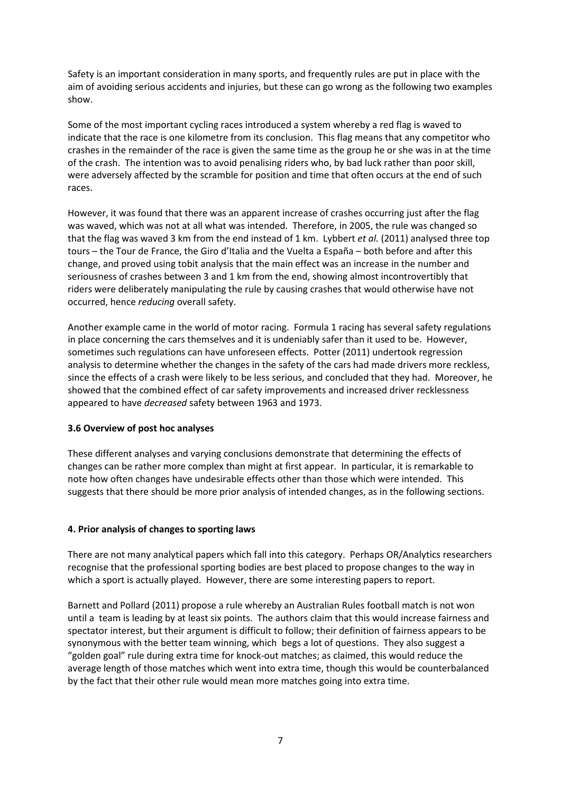Safety is an important consideration in many sports, and frequently rules are put in place with the aim of avoiding serious accidents and injuries, but these can go wrong as the following two examples show.

Some of the most important cycling races introduced a system whereby a red flag is waved to indicate that the race is one kilometre from its conclusion. This flag means that any competitor who crashes in the remainder of the race is given the same time as the group he or she was in at the time of the crash. The intention was to avoid penalising riders who, by bad luck rather than poor skill, were adversely affected by the scramble for position and time that often occurs at the end of such races.

However, it was found that there was an apparent increase of crashes occurring just after the flag was waved, which was not at all what was intended. Therefore, in 2005, the rule was changed so that the flag was waved 3 km from the end instead of 1 km. Lybbert *et al.* (2011) analysed three top tours – the Tour de France, the Giro d'Italia and the Vuelta a España – both before and after this change, and proved using tobit analysis that the main effect was an increase in the number and seriousness of crashes between 3 and 1 km from the end, showing almost incontrovertibly that riders were deliberately manipulating the rule by causing crashes that would otherwise have not occurred, hence *reducing* overall safety.

Another example came in the world of motor racing. Formula 1 racing has several safety regulations in place concerning the cars themselves and it is undeniably safer than it used to be. However, sometimes such regulations can have unforeseen effects. Potter (2011) undertook regression analysis to determine whether the changes in the safety of the cars had made drivers more reckless, since the effects of a crash were likely to be less serious, and concluded that they had. Moreover, he showed that the combined effect of car safety improvements and increased driver recklessness appeared to have *decreased* safety between 1963 and 1973.

## **3.6 Overview of post hoc analyses**

These different analyses and varying conclusions demonstrate that determining the effects of changes can be rather more complex than might at first appear. In particular, it is remarkable to note how often changes have undesirable effects other than those which were intended. This suggests that there should be more prior analysis of intended changes, as in the following sections.

## **4. Prior analysis of changes to sporting laws**

There are not many analytical papers which fall into this category. Perhaps OR/Analytics researchers recognise that the professional sporting bodies are best placed to propose changes to the way in which a sport is actually played. However, there are some interesting papers to report.

Barnett and Pollard (2011) propose a rule whereby an Australian Rules football match is not won until a team is leading by at least six points. The authors claim that this would increase fairness and spectator interest, but their argument is difficult to follow; their definition of fairness appears to be synonymous with the better team winning, which begs a lot of questions. They also suggest a "golden goal" rule during extra time for knock-out matches; as claimed, this would reduce the average length of those matches which went into extra time, though this would be counterbalanced by the fact that their other rule would mean more matches going into extra time.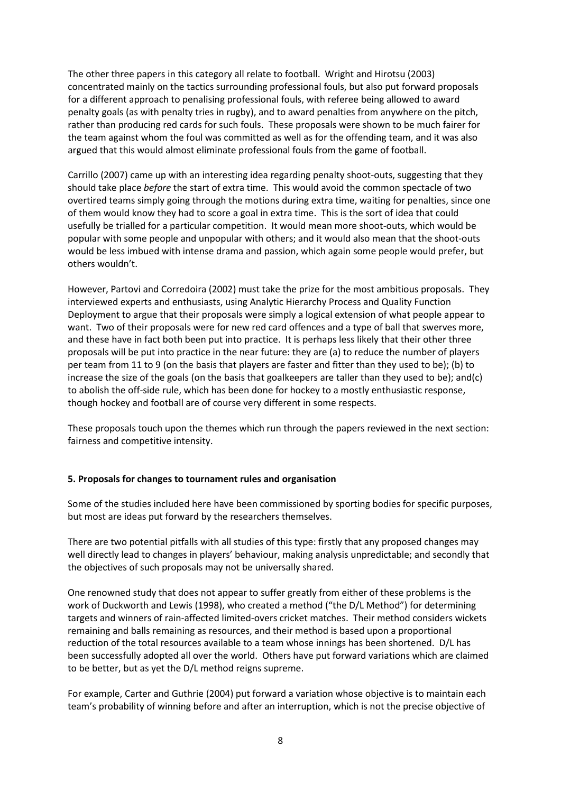The other three papers in this category all relate to football. Wright and Hirotsu (2003) concentrated mainly on the tactics surrounding professional fouls, but also put forward proposals for a different approach to penalising professional fouls, with referee being allowed to award penalty goals (as with penalty tries in rugby), and to award penalties from anywhere on the pitch, rather than producing red cards for such fouls. These proposals were shown to be much fairer for the team against whom the foul was committed as well as for the offending team, and it was also argued that this would almost eliminate professional fouls from the game of football.

Carrillo (2007) came up with an interesting idea regarding penalty shoot-outs, suggesting that they should take place *before* the start of extra time. This would avoid the common spectacle of two overtired teams simply going through the motions during extra time, waiting for penalties, since one of them would know they had to score a goal in extra time. This is the sort of idea that could usefully be trialled for a particular competition. It would mean more shoot-outs, which would be popular with some people and unpopular with others; and it would also mean that the shoot-outs would be less imbued with intense drama and passion, which again some people would prefer, but others wouldn't.

However, Partovi and Corredoira (2002) must take the prize for the most ambitious proposals. They interviewed experts and enthusiasts, using Analytic Hierarchy Process and Quality Function Deployment to argue that their proposals were simply a logical extension of what people appear to want. Two of their proposals were for new red card offences and a type of ball that swerves more, and these have in fact both been put into practice. It is perhaps less likely that their other three proposals will be put into practice in the near future: they are (a) to reduce the number of players per team from 11 to 9 (on the basis that players are faster and fitter than they used to be); (b) to increase the size of the goals (on the basis that goalkeepers are taller than they used to be); and(c) to abolish the off-side rule, which has been done for hockey to a mostly enthusiastic response, though hockey and football are of course very different in some respects.

These proposals touch upon the themes which run through the papers reviewed in the next section: fairness and competitive intensity.

#### **5. Proposals for changes to tournament rules and organisation**

Some of the studies included here have been commissioned by sporting bodies for specific purposes, but most are ideas put forward by the researchers themselves.

There are two potential pitfalls with all studies of this type: firstly that any proposed changes may well directly lead to changes in players' behaviour, making analysis unpredictable; and secondly that the objectives of such proposals may not be universally shared.

One renowned study that does not appear to suffer greatly from either of these problems is the work of Duckworth and Lewis (1998), who created a method ("the D/L Method") for determining targets and winners of rain-affected limited-overs cricket matches. Their method considers wickets remaining and balls remaining as resources, and their method is based upon a proportional reduction of the total resources available to a team whose innings has been shortened. D/L has been successfully adopted all over the world. Others have put forward variations which are claimed to be better, but as yet the D/L method reigns supreme.

For example, Carter and Guthrie (2004) put forward a variation whose objective is to maintain each team's probability of winning before and after an interruption, which is not the precise objective of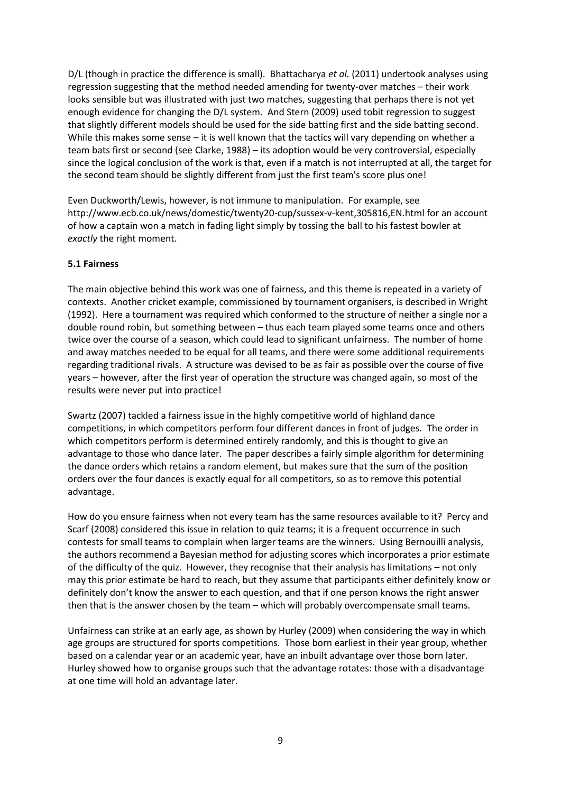D/L (though in practice the difference is small). Bhattacharya *et al.* (2011) undertook analyses using regression suggesting that the method needed amending for twenty-over matches – their work looks sensible but was illustrated with just two matches, suggesting that perhaps there is not yet enough evidence for changing the D/L system. And Stern (2009) used tobit regression to suggest that slightly different models should be used for the side batting first and the side batting second. While this makes some sense – it is well known that the tactics will vary depending on whether a team bats first or second (see Clarke, 1988) – its adoption would be very controversial, especially since the logical conclusion of the work is that, even if a match is not interrupted at all, the target for the second team should be slightly different from just the first team's score plus one!

Even Duckworth/Lewis, however, is not immune to manipulation. For example, see http://www.ecb.co.uk/news/domestic/twenty20-cup/sussex-v-kent,305816,EN.html for an account of how a captain won a match in fading light simply by tossing the ball to his fastest bowler at *exactly* the right moment.

#### **5.1 Fairness**

The main objective behind this work was one of fairness, and this theme is repeated in a variety of contexts. Another cricket example, commissioned by tournament organisers, is described in Wright (1992). Here a tournament was required which conformed to the structure of neither a single nor a double round robin, but something between – thus each team played some teams once and others twice over the course of a season, which could lead to significant unfairness. The number of home and away matches needed to be equal for all teams, and there were some additional requirements regarding traditional rivals. A structure was devised to be as fair as possible over the course of five years – however, after the first year of operation the structure was changed again, so most of the results were never put into practice!

Swartz (2007) tackled a fairness issue in the highly competitive world of highland dance competitions, in which competitors perform four different dances in front of judges. The order in which competitors perform is determined entirely randomly, and this is thought to give an advantage to those who dance later. The paper describes a fairly simple algorithm for determining the dance orders which retains a random element, but makes sure that the sum of the position orders over the four dances is exactly equal for all competitors, so as to remove this potential advantage.

How do you ensure fairness when not every team has the same resources available to it? Percy and Scarf (2008) considered this issue in relation to quiz teams; it is a frequent occurrence in such contests for small teams to complain when larger teams are the winners. Using Bernouilli analysis, the authors recommend a Bayesian method for adjusting scores which incorporates a prior estimate of the difficulty of the quiz. However, they recognise that their analysis has limitations – not only may this prior estimate be hard to reach, but they assume that participants either definitely know or definitely don't know the answer to each question, and that if one person knows the right answer then that is the answer chosen by the team – which will probably overcompensate small teams.

Unfairness can strike at an early age, as shown by Hurley (2009) when considering the way in which age groups are structured for sports competitions. Those born earliest in their year group, whether based on a calendar year or an academic year, have an inbuilt advantage over those born later. Hurley showed how to organise groups such that the advantage rotates: those with a disadvantage at one time will hold an advantage later.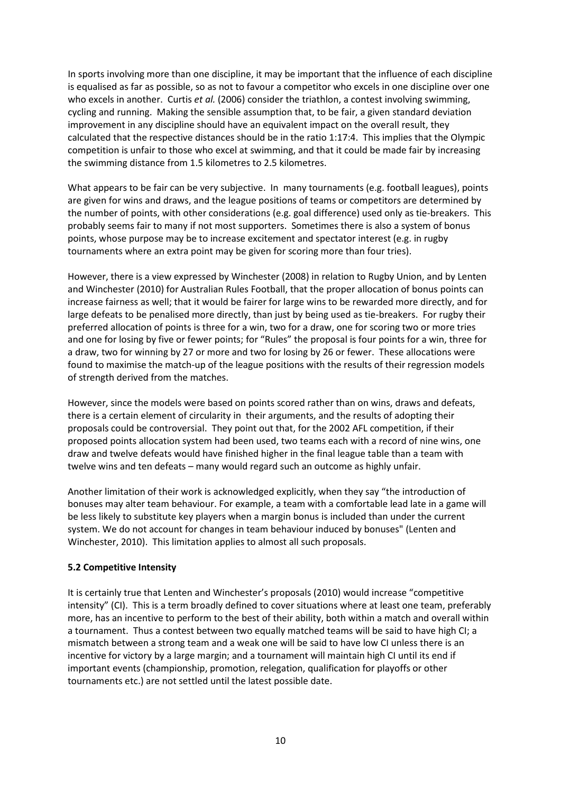In sports involving more than one discipline, it may be important that the influence of each discipline is equalised as far as possible, so as not to favour a competitor who excels in one discipline over one who excels in another. Curtis *et al.* (2006) consider the triathlon, a contest involving swimming, cycling and running. Making the sensible assumption that, to be fair, a given standard deviation improvement in any discipline should have an equivalent impact on the overall result, they calculated that the respective distances should be in the ratio 1:17:4. This implies that the Olympic competition is unfair to those who excel at swimming, and that it could be made fair by increasing the swimming distance from 1.5 kilometres to 2.5 kilometres.

What appears to be fair can be very subjective. In many tournaments (e.g. football leagues), points are given for wins and draws, and the league positions of teams or competitors are determined by the number of points, with other considerations (e.g. goal difference) used only as tie-breakers. This probably seems fair to many if not most supporters. Sometimes there is also a system of bonus points, whose purpose may be to increase excitement and spectator interest (e.g. in rugby tournaments where an extra point may be given for scoring more than four tries).

However, there is a view expressed by Winchester (2008) in relation to Rugby Union, and by Lenten and Winchester (2010) for Australian Rules Football, that the proper allocation of bonus points can increase fairness as well; that it would be fairer for large wins to be rewarded more directly, and for large defeats to be penalised more directly, than just by being used as tie-breakers. For rugby their preferred allocation of points is three for a win, two for a draw, one for scoring two or more tries and one for losing by five or fewer points; for "Rules" the proposal is four points for a win, three for a draw, two for winning by 27 or more and two for losing by 26 or fewer. These allocations were found to maximise the match-up of the league positions with the results of their regression models of strength derived from the matches.

However, since the models were based on points scored rather than on wins, draws and defeats, there is a certain element of circularity in their arguments, and the results of adopting their proposals could be controversial. They point out that, for the 2002 AFL competition, if their proposed points allocation system had been used, two teams each with a record of nine wins, one draw and twelve defeats would have finished higher in the final league table than a team with twelve wins and ten defeats – many would regard such an outcome as highly unfair.

Another limitation of their work is acknowledged explicitly, when they say "the introduction of bonuses may alter team behaviour. For example, a team with a comfortable lead late in a game will be less likely to substitute key players when a margin bonus is included than under the current system. We do not account for changes in team behaviour induced by bonuses" (Lenten and Winchester, 2010). This limitation applies to almost all such proposals.

## **5.2 Competitive Intensity**

It is certainly true that Lenten and Winchester's proposals (2010) would increase "competitive intensity" (CI). This is a term broadly defined to cover situations where at least one team, preferably more, has an incentive to perform to the best of their ability, both within a match and overall within a tournament. Thus a contest between two equally matched teams will be said to have high CI; a mismatch between a strong team and a weak one will be said to have low CI unless there is an incentive for victory by a large margin; and a tournament will maintain high CI until its end if important events (championship, promotion, relegation, qualification for playoffs or other tournaments etc.) are not settled until the latest possible date.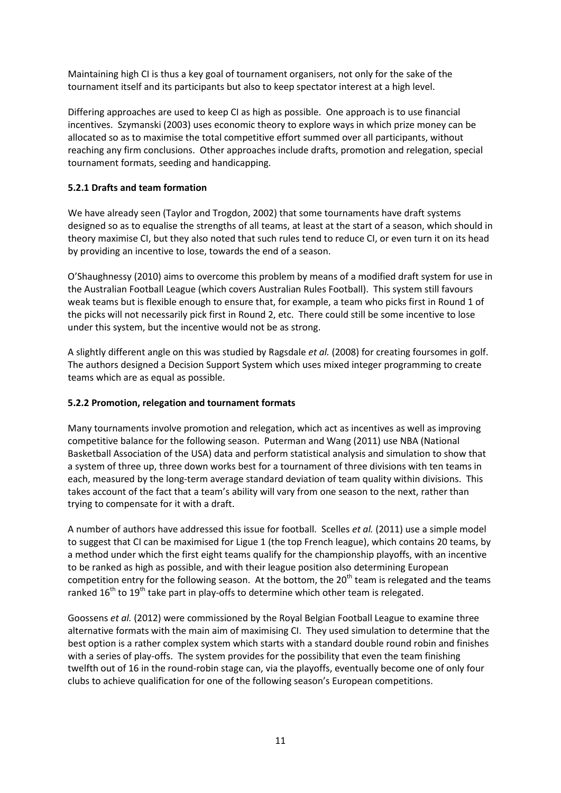Maintaining high CI is thus a key goal of tournament organisers, not only for the sake of the tournament itself and its participants but also to keep spectator interest at a high level.

Differing approaches are used to keep CI as high as possible. One approach is to use financial incentives. Szymanski (2003) uses economic theory to explore ways in which prize money can be allocated so as to maximise the total competitive effort summed over all participants, without reaching any firm conclusions. Other approaches include drafts, promotion and relegation, special tournament formats, seeding and handicapping.

# **5.2.1 Drafts and team formation**

We have already seen (Taylor and Trogdon, 2002) that some tournaments have draft systems designed so as to equalise the strengths of all teams, at least at the start of a season, which should in theory maximise CI, but they also noted that such rules tend to reduce CI, or even turn it on its head by providing an incentive to lose, towards the end of a season.

O'Shaughnessy (2010) aims to overcome this problem by means of a modified draft system for use in the Australian Football League (which covers Australian Rules Football). This system still favours weak teams but is flexible enough to ensure that, for example, a team who picks first in Round 1 of the picks will not necessarily pick first in Round 2, etc. There could still be some incentive to lose under this system, but the incentive would not be as strong.

A slightly different angle on this was studied by Ragsdale *et al.* (2008) for creating foursomes in golf. The authors designed a Decision Support System which uses mixed integer programming to create teams which are as equal as possible.

## **5.2.2 Promotion, relegation and tournament formats**

Many tournaments involve promotion and relegation, which act as incentives as well as improving competitive balance for the following season. Puterman and Wang (2011) use NBA (National Basketball Association of the USA) data and perform statistical analysis and simulation to show that a system of three up, three down works best for a tournament of three divisions with ten teams in each, measured by the long-term average standard deviation of team quality within divisions. This takes account of the fact that a team's ability will vary from one season to the next, rather than trying to compensate for it with a draft.

A number of authors have addressed this issue for football. Scelles *et al.* (2011) use a simple model to suggest that CI can be maximised for Ligue 1 (the top French league), which contains 20 teams, by a method under which the first eight teams qualify for the championship playoffs, with an incentive to be ranked as high as possible, and with their league position also determining European competition entry for the following season. At the bottom, the  $20<sup>th</sup>$  team is relegated and the teams ranked  $16^{th}$  to  $19^{th}$  take part in play-offs to determine which other team is relegated.

Goossens *et al.* (2012) were commissioned by the Royal Belgian Football League to examine three alternative formats with the main aim of maximising CI. They used simulation to determine that the best option is a rather complex system which starts with a standard double round robin and finishes with a series of play-offs. The system provides for the possibility that even the team finishing twelfth out of 16 in the round-robin stage can, via the playoffs, eventually become one of only four clubs to achieve qualification for one of the following season's European competitions.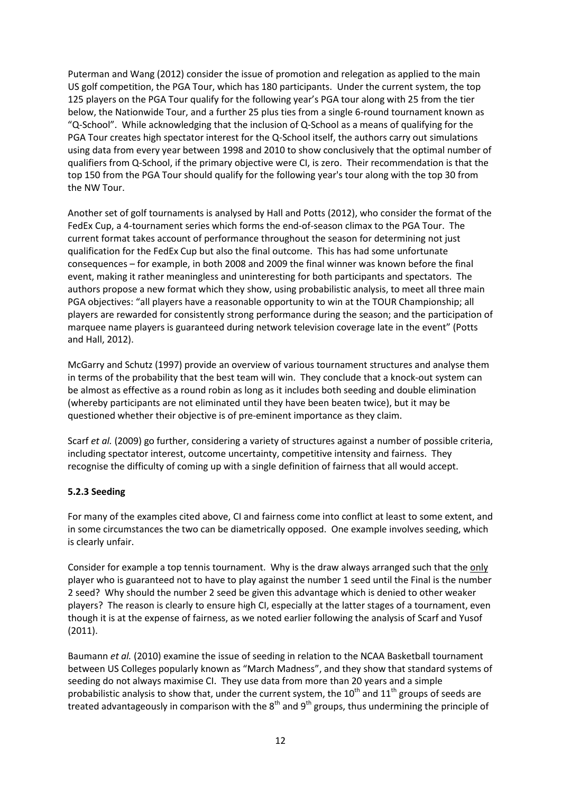Puterman and Wang (2012) consider the issue of promotion and relegation as applied to the main US golf competition, the PGA Tour, which has 180 participants. Under the current system, the top 125 players on the PGA Tour qualify for the following year's PGA tour along with 25 from the tier below, the Nationwide Tour, and a further 25 plus ties from a single 6-round tournament known as "Q-School". While acknowledging that the inclusion of Q-School as a means of qualifying for the PGA Tour creates high spectator interest for the Q-School itself, the authors carry out simulations using data from every year between 1998 and 2010 to show conclusively that the optimal number of qualifiers from Q-School, if the primary objective were CI, is zero. Their recommendation is that the top 150 from the PGA Tour should qualify for the following year's tour along with the top 30 from the NW Tour.

Another set of golf tournaments is analysed by Hall and Potts (2012), who consider the format of the FedEx Cup, a 4-tournament series which forms the end-of-season climax to the PGA Tour. The current format takes account of performance throughout the season for determining not just qualification for the FedEx Cup but also the final outcome. This has had some unfortunate consequences – for example, in both 2008 and 2009 the final winner was known before the final event, making it rather meaningless and uninteresting for both participants and spectators. The authors propose a new format which they show, using probabilistic analysis, to meet all three main PGA objectives: "all players have a reasonable opportunity to win at the TOUR Championship; all players are rewarded for consistently strong performance during the season; and the participation of marquee name players is guaranteed during network television coverage late in the event" (Potts and Hall, 2012).

McGarry and Schutz (1997) provide an overview of various tournament structures and analyse them in terms of the probability that the best team will win. They conclude that a knock-out system can be almost as effective as a round robin as long as it includes both seeding and double elimination (whereby participants are not eliminated until they have been beaten twice), but it may be questioned whether their objective is of pre-eminent importance as they claim.

Scarf *et al.* (2009) go further, considering a variety of structures against a number of possible criteria, including spectator interest, outcome uncertainty, competitive intensity and fairness. They recognise the difficulty of coming up with a single definition of fairness that all would accept.

## **5.2.3 Seeding**

For many of the examples cited above, CI and fairness come into conflict at least to some extent, and in some circumstances the two can be diametrically opposed. One example involves seeding, which is clearly unfair.

Consider for example a top tennis tournament. Why is the draw always arranged such that the only player who is guaranteed not to have to play against the number 1 seed until the Final is the number 2 seed? Why should the number 2 seed be given this advantage which is denied to other weaker players? The reason is clearly to ensure high CI, especially at the latter stages of a tournament, even though it is at the expense of fairness, as we noted earlier following the analysis of Scarf and Yusof (2011).

Baumann *et al.* (2010) examine the issue of seeding in relation to the NCAA Basketball tournament between US Colleges popularly known as "March Madness", and they show that standard systems of seeding do not always maximise CI. They use data from more than 20 years and a simple probabilistic analysis to show that, under the current system, the  $10^{th}$  and  $11^{th}$  groups of seeds are treated advantageously in comparison with the  $8<sup>th</sup>$  and  $9<sup>th</sup>$  groups, thus undermining the principle of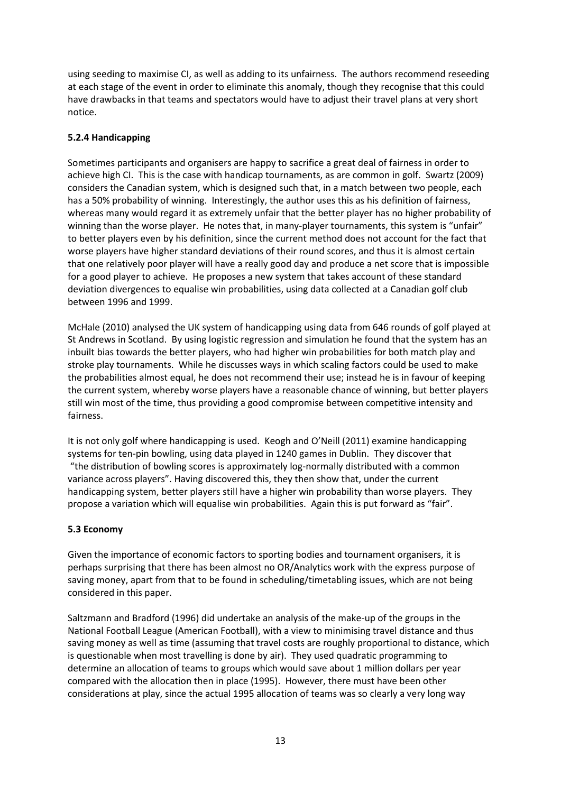using seeding to maximise CI, as well as adding to its unfairness. The authors recommend reseeding at each stage of the event in order to eliminate this anomaly, though they recognise that this could have drawbacks in that teams and spectators would have to adjust their travel plans at very short notice.

## **5.2.4 Handicapping**

Sometimes participants and organisers are happy to sacrifice a great deal of fairness in order to achieve high CI. This is the case with handicap tournaments, as are common in golf. Swartz (2009) considers the Canadian system, which is designed such that, in a match between two people, each has a 50% probability of winning. Interestingly, the author uses this as his definition of fairness, whereas many would regard it as extremely unfair that the better player has no higher probability of winning than the worse player. He notes that, in many-player tournaments, this system is "unfair" to better players even by his definition, since the current method does not account for the fact that worse players have higher standard deviations of their round scores, and thus it is almost certain that one relatively poor player will have a really good day and produce a net score that is impossible for a good player to achieve. He proposes a new system that takes account of these standard deviation divergences to equalise win probabilities, using data collected at a Canadian golf club between 1996 and 1999.

McHale (2010) analysed the UK system of handicapping using data from 646 rounds of golf played at St Andrews in Scotland. By using logistic regression and simulation he found that the system has an inbuilt bias towards the better players, who had higher win probabilities for both match play and stroke play tournaments. While he discusses ways in which scaling factors could be used to make the probabilities almost equal, he does not recommend their use; instead he is in favour of keeping the current system, whereby worse players have a reasonable chance of winning, but better players still win most of the time, thus providing a good compromise between competitive intensity and fairness.

It is not only golf where handicapping is used. Keogh and O'Neill (2011) examine handicapping systems for ten-pin bowling, using data played in 1240 games in Dublin. They discover that "the distribution of bowling scores is approximately log-normally distributed with a common variance across players". Having discovered this, they then show that, under the current handicapping system, better players still have a higher win probability than worse players. They propose a variation which will equalise win probabilities. Again this is put forward as "fair".

## **5.3 Economy**

Given the importance of economic factors to sporting bodies and tournament organisers, it is perhaps surprising that there has been almost no OR/Analytics work with the express purpose of saving money, apart from that to be found in scheduling/timetabling issues, which are not being considered in this paper.

Saltzmann and Bradford (1996) did undertake an analysis of the make-up of the groups in the National Football League (American Football), with a view to minimising travel distance and thus saving money as well as time (assuming that travel costs are roughly proportional to distance, which is questionable when most travelling is done by air). They used quadratic programming to determine an allocation of teams to groups which would save about 1 million dollars per year compared with the allocation then in place (1995). However, there must have been other considerations at play, since the actual 1995 allocation of teams was so clearly a very long way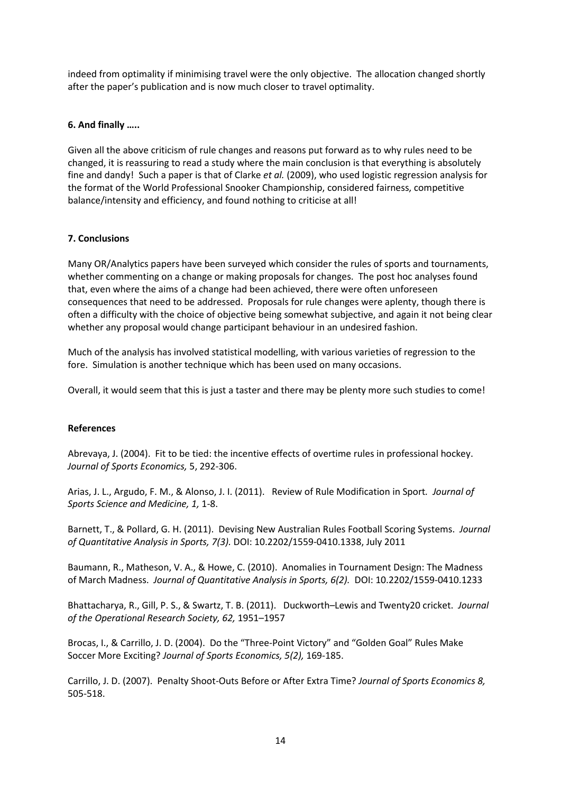indeed from optimality if minimising travel were the only objective. The allocation changed shortly after the paper's publication and is now much closer to travel optimality.

#### **6. And finally …..**

Given all the above criticism of rule changes and reasons put forward as to why rules need to be changed, it is reassuring to read a study where the main conclusion is that everything is absolutely fine and dandy! Such a paper is that of Clarke *et al.* (2009), who used logistic regression analysis for the format of the World Professional Snooker Championship, considered fairness, competitive balance/intensity and efficiency, and found nothing to criticise at all!

#### **7. Conclusions**

Many OR/Analytics papers have been surveyed which consider the rules of sports and tournaments, whether commenting on a change or making proposals for changes. The post hoc analyses found that, even where the aims of a change had been achieved, there were often unforeseen consequences that need to be addressed. Proposals for rule changes were aplenty, though there is often a difficulty with the choice of objective being somewhat subjective, and again it not being clear whether any proposal would change participant behaviour in an undesired fashion.

Much of the analysis has involved statistical modelling, with various varieties of regression to the fore. Simulation is another technique which has been used on many occasions.

Overall, it would seem that this is just a taster and there may be plenty more such studies to come!

#### **References**

Abrevaya, J. (2004). Fit to be tied: the incentive effects of overtime rules in professional hockey. *Journal of Sports Economics,* 5, 292-306.

Arias, J. L., Argudo, F. M., & Alonso, J. I. (2011). Review of Rule Modification in Sport*. Journal of Sports Science and Medicine, 1,* 1-8.

Barnett, T., & Pollard, G. H. (2011). Devising New Australian Rules Football Scoring Systems. *Journal of Quantitative Analysis in Sports, 7(3).* DOI: 10.2202/1559-0410.1338, July 2011

Baumann, R., Matheson, V. A., & Howe, C. (2010). Anomalies in Tournament Design: The Madness of March Madness. *Journal of Quantitative Analysis in Sports, 6(2).* DOI: 10.2202/1559-0410.1233

Bhattacharya, R., Gill, P. S., & Swartz, T. B. (2011). Duckworth–Lewis and Twenty20 cricket. *Journal of the Operational Research Society, 62,* 1951–1957

Brocas, I., & Carrillo, J. D. (2004). Do the "Three-Point Victory" and "Golden Goal" Rules Make Soccer More Exciting? *Journal of Sports Economics, 5(2),* 169-185.

Carrillo, J. D. (2007). Penalty Shoot-Outs Before or After Extra Time? *Journal of Sports Economics 8,*  505-518.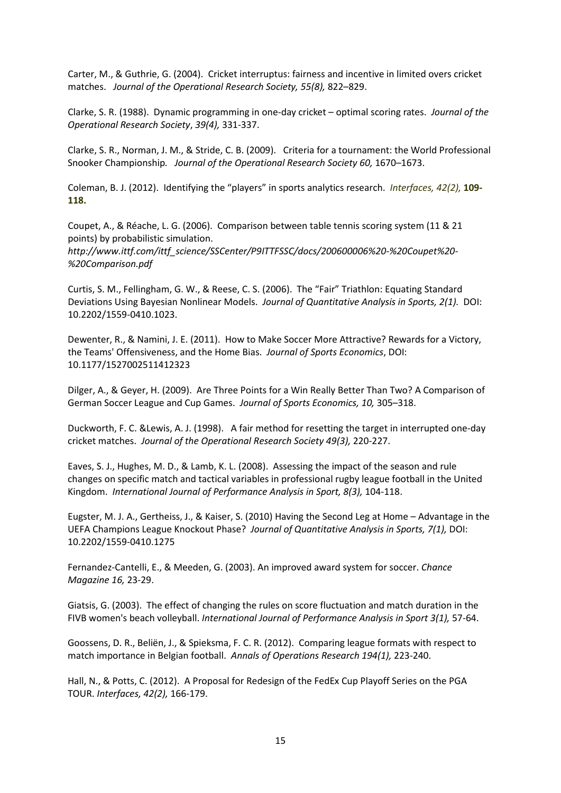Carter, M., & Guthrie, G. (2004). Cricket interruptus: fairness and incentive in limited overs cricket matches. *Journal of the Operational Research Society, 55(8),* 822–829.

Clarke, S. R. (1988). Dynamic programming in one-day cricket – optimal scoring rates. *Journal of the Operational Research Society*, *39(4),* 331-337.

Clarke, S. R., Norman, J. M., & Stride, C. B. (2009). Criteria for a tournament: the World Professional Snooker Championship*. Journal of the Operational Research Society 60,* 1670–1673.

Coleman, B. J. (2012). Identifying the "players" in sports analytics research. *Interfaces, 42(2),* **109- 118.**

Coupet, A., & Réache, L. G. (2006). Comparison between table tennis scoring system (11 & 21 points) by probabilistic simulation. *http://www.ittf.com/ittf\_science/SSCenter/P9ITTFSSC/docs/200600006%20-%20Coupet%20- %20Comparison.pdf*

Curtis, S. M., Fellingham, G. W., & Reese, C. S. (2006). The "Fair" Triathlon: Equating Standard Deviations Using Bayesian Nonlinear Models. *Journal of Quantitative Analysis in Sports, 2(1).* DOI: 10.2202/1559-0410.1023.

Dewenter, R., & Namini, J. E. (2011). How to Make Soccer More Attractive? Rewards for a Victory, the Teams' Offensiveness, and the Home Bias. *Journal of Sports Economics*, DOI: 10.1177/1527002511412323

Dilger, A., & Geyer, H. (2009). Are Three Points for a Win Really Better Than Two? A Comparison of German Soccer League and Cup Games. *Journal of Sports Economics, 10,* 305–318.

Duckworth, F. C. &Lewis, A. J. (1998). A fair method for resetting the target in interrupted one-day cricket matches. *Journal of the Operational Research Society 49(3),* 220-227.

Eaves, S. J., Hughes, M. D., & Lamb, K. L. (2008). Assessing the impact of the season and rule changes on specific match and tactical variables in professional rugby league football in the United Kingdom. *International Journal of Performance Analysis in Sport, 8(3),* 104-118.

Eugster, M. J. A., Gertheiss, J., & Kaiser, S. (2010) Having the Second Leg at Home – Advantage in the UEFA Champions League Knockout Phase? *Journal of Quantitative Analysis in Sports, 7(1),* DOI: 10.2202/1559-0410.1275

Fernandez-Cantelli, E., & Meeden, G. (2003). An improved award system for soccer. *Chance Magazine 16,* 23-29.

Giatsis, G. (2003). The effect of changing the rules on score fluctuation and match duration in the FIVB women's beach volleyball. *International Journal of Performance Analysis in Sport 3(1),* 57-64.

Goossens, D. R., Beliën, J., & Spieksma, F. C. R. (2012). [Comparing league formats with respect to](http://www.springerlink.com/content/eun86r826607p441/)  match importance in Belgian football. *[Annals of Operations Research 194\(1\),](http://www.springerlink.com/content/eun86r826607p441/)* 223-240.

Hall, N., & Potts, C. (2012). A Proposal for Redesign of the FedEx Cup Playoff Series on the PGA TOUR. *Interfaces, 42(2),* 166-179.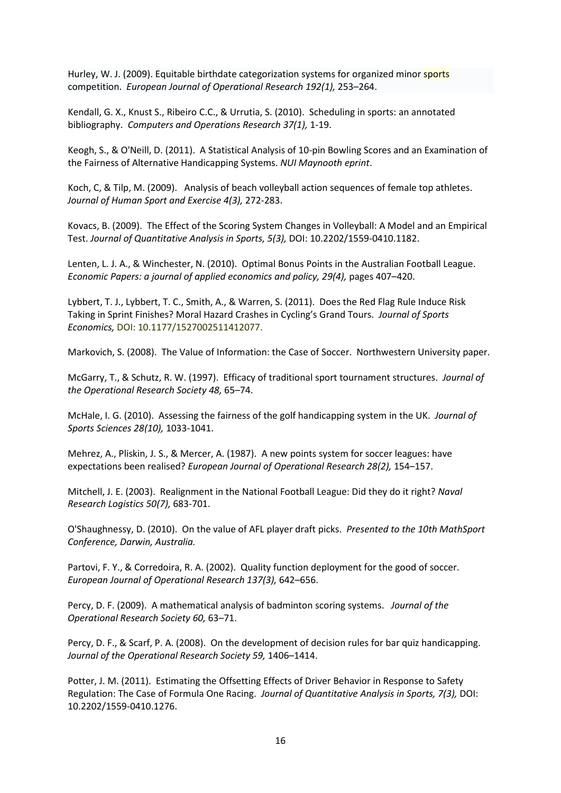Hurley, W. J. (2009). Equitable birthdate categorization systems for organized minor sports competition. *European Journal of [Operational](http://www.sciencedirect.com/science/journal/03772217) Research 192(1),* 253–264.

Kendall, G. X., Knust S., Ribeiro C.C., & Urrutia, S. (2010). Scheduling in sports: an annotated bibliography. *Computers and Operations Research 37(1),* 1-19.

Keogh, S., & O'Neill, D. (2011). A Statistical Analysis of 10-pin Bowling Scores and an Examination of the Fairness of Alternative Handicapping Systems. *NUI Maynooth eprint*.

Koch, C, & Tilp, M. (2009). Analysis of beach volleyball action sequences of female top athletes. *Journal of Human Sport and Exercise 4(3),* 272-283.

Kovacs, B. (2009). The Effect of the Scoring System Changes in Volleyball: A Model and an Empirical Test. *Journal of Quantitative Analysis in Sports, 5(3),* DOI: 10.2202/1559-0410.1182.

Lenten, L. J. A., & Winchester, N. (2010). Optimal Bonus Points in the Australian Football League. *Economic Papers: a journal of applied economics and policy, 29(4),* pages 407–420.

Lybbert, T. J., Lybbert, T. C., Smith, A., & Warren, S. (2011). Does the Red Flag Rule Induce Risk Taking in Sprint Finishes? Moral Hazard Crashes in Cycling's Grand Tours. *Journal of Sports Economics,* DOI: 10.1177/1527002511412077.

Markovich, S. (2008). The Value of Information: the Case of Soccer. Northwestern University paper.

McGarry, T., & Schutz, R. W. (1997). Efficacy of traditional sport tournament structures. *Journal of the Operational Research Society 48,* 65–74.

[McHale,](http://www.tandfonline.com/action/doSearch?action=runSearch&type=advanced&result=true&prevSearch=%2Bauthorsfield%3A(McHale%2C+Ian+G.)) I. G. (2010). Assessing the fairness of the golf handicapping system in the UK. *Journal of Sports Sciences 28(10),* 1033-1041.

Mehrez, A., Pliskin, J. S., & Mercer, A. (1987). A new points system for soccer leagues: have expectations been realised? *European Journal of Operational Research 28(2),* 154–157.

Mitchell, J. E. (2003). Realignment in the National Football League: Did they do it right? *Naval Research Logistics 50(7),* 683-701.

O'Shaughnessy, D. (2010). On the value of AFL player draft picks. *Presented to the 10th MathSport Conference, Darwin, Australia.*

Partovi, F. Y., & Corredoira, R. A. (2002). Quality function deployment for the good of soccer. *European Journal of Operational Research 137(3),* 642–656.

Percy, D. F. (2009). A mathematical analysis of badminton scoring systems. *Journal of the Operational Research Society 60,* 63–71.

Percy, D. F., & Scarf, P. A. (2008). On the development of decision rules for bar quiz handicapping. *Journal of the Operational Research Society 59,* 1406–1414.

Potter, J. M. (2011). Estimating the Offsetting Effects of Driver Behavior in Response to Safety Regulation: The Case of Formula One Racing. *Journal of Quantitative Analysis in Sports, 7(3),* DOI: 10.2202/1559-0410.1276.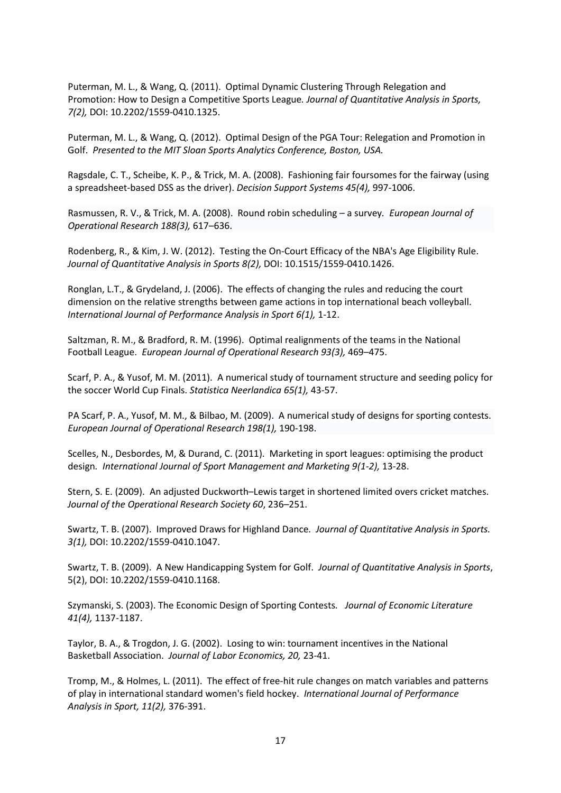Puterman, M. L., & Wang, Q. (2011). Optimal Dynamic Clustering Through Relegation and Promotion: How to Design a Competitive Sports League*. Journal of Quantitative Analysis in Sports, 7(2),* DOI: 10.2202/1559-0410.1325.

Puterman, M. L., & Wang, Q. (2012). Optimal Design of the PGA Tour: Relegation and Promotion in Golf. *Presented to the MIT Sloan Sports Analytics Conference, Boston, USA.*

Ragsdale, C. T., Scheibe, K. P., & Trick, M. A. (2008). Fashioning fair foursomes for the fairway (using a spreadsheet-based DSS as the driver). *Decision Support Systems 45(4),* 997-1006.

Rasmussen, R. V., & Trick, M. A. (2008). Round robin scheduling – a survey*. [European](http://www.sciencedirect.com/science/journal/03772217) Journal of [Operational](http://www.sciencedirect.com/science/journal/03772217) Research 188(3),* 617–636.

Rodenberg, R., & Kim, J. W. (2012). Testing the On-Court Efficacy of the NBA's Age Eligibility Rule. *Journal of Quantitative Analysis in Sports 8(2),* DOI: 10.1515/1559-0410.1426.

Ronglan, L.T., & Grydeland, J. (2006). The effects of changing the rules and reducing the court dimension on the relative strengths between game actions in top international beach volleyball. *International Journal of Performance Analysis in Sport 6(1),* 1-12.

Saltzman, R. M., & Bradford, R. M. (1996). Optimal realignments of the teams in the National Football League. *European Journal of Operational Research 93(3),* 469–475.

Scarf, P. A., & Yusof, M. M. (2011). A numerical study of tournament structure and seeding policy for the soccer World Cup Finals. *Statistica Neerlandica 65(1),* 43-57.

PA Scarf, P. A., Yusof, M. M., & Bilbao, M. (2009). A numerical study of designs for sporting contests. *European Journal of [Operational](http://www.sciencedirect.com/science/journal/03772217) Research 198(1),* 190-198.

Scelles, N., Desbordes, M, & Durand, C. (2011). Marketing in sport leagues: optimising the product design*. International Journal of Sport Management and Marketing 9(1-2),* 13-28.

Stern, S. E. (2009). An adjusted Duckworth–Lewis target in shortened limited overs cricket matches. *Journal of the Operational Research Society 60*, 236–251.

Swartz, T. B. (2007). Improved Draws for Highland Dance*. Journal of Quantitative Analysis in Sports. 3(1),* DOI: 10.2202/1559-0410.1047.

Swartz, T. B. (2009). A New Handicapping System for Golf. *Journal of Quantitative Analysis in Sports*, 5(2), DOI: 10.2202/1559-0410.1168.

Szymanski, S. (2003). The Economic Design of Sporting Contests*. Journal of Economic Literature 41(4),* 1137-1187.

Taylor, B. A., & Trogdon, J. G. (2002). Losing to win: tournament incentives in the National Basketball Association. *Journal of Labor Economics, 20,* 23-41.

Tromp, M., & Holmes, L. (2011). The effect of free-hit rule changes on match variables and patterns of play in international standard women's field hockey. *International Journal of Performance Analysis in Sport, 11(2),* 376-391.